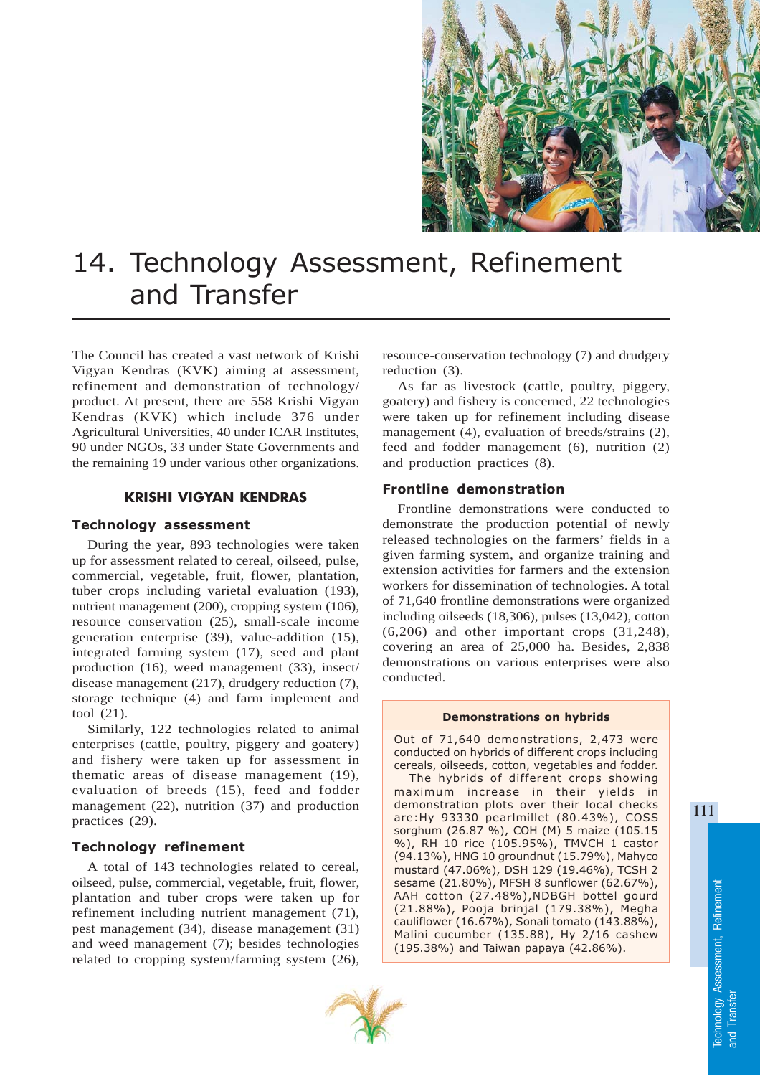

# 14. Technology Assessment, Refinement and Transfer

The Council has created a vast network of Krishi Vigyan Kendras (KVK) aiming at assessment, refinement and demonstration of technology/ product. At present, there are 558 Krishi Vigyan Kendras (KVK) which include 376 under Agricultural Universities, 40 under ICAR Institutes, 90 under NGOs, 33 under State Governments and the remaining 19 under various other organizations.

# KRISHI VIGYAN KENDRAS

## Technology assessment

During the year, 893 technologies were taken up for assessment related to cereal, oilseed, pulse, commercial, vegetable, fruit, flower, plantation, tuber crops including varietal evaluation (193), nutrient management (200), cropping system (106), resource conservation (25), small-scale income generation enterprise (39), value-addition (15), integrated farming system (17), seed and plant production (16), weed management (33), insect/ disease management (217), drudgery reduction (7), storage technique (4) and farm implement and tool (21).

Similarly, 122 technologies related to animal enterprises (cattle, poultry, piggery and goatery) and fishery were taken up for assessment in thematic areas of disease management (19), evaluation of breeds (15), feed and fodder management (22), nutrition (37) and production practices (29).

## Technology refinement

A total of 143 technologies related to cereal, oilseed, pulse, commercial, vegetable, fruit, flower, plantation and tuber crops were taken up for refinement including nutrient management (71), pest management (34), disease management (31) and weed management (7); besides technologies related to cropping system/farming system (26),

resource-conservation technology (7) and drudgery reduction (3).

As far as livestock (cattle, poultry, piggery, goatery) and fishery is concerned, 22 technologies were taken up for refinement including disease management (4), evaluation of breeds/strains (2), feed and fodder management (6), nutrition (2) and production practices (8).

## Frontline demonstration

Frontline demonstrations were conducted to demonstrate the production potential of newly released technologies on the farmers' fields in a given farming system, and organize training and extension activities for farmers and the extension workers for dissemination of technologies. A total of 71,640 frontline demonstrations were organized including oilseeds (18,306), pulses (13,042), cotton (6,206) and other important crops (31,248), covering an area of 25,000 ha. Besides, 2,838 demonstrations on various enterprises were also conducted.

#### Demonstrations on hybrids

Out of 71,640 demonstrations, 2,473 were conducted on hybrids of different crops including cereals, oilseeds, cotton, vegetables and fodder.

The hybrids of different crops showing maximum increase in their yields in demonstration plots over their local checks are:Hy 93330 pearlmillet (80.43%), COSS sorghum (26.87 %), COH (M) 5 maize (105.15 %), RH 10 rice (105.95%), TMVCH 1 castor (94.13%), HNG 10 groundnut (15.79%), Mahyco mustard (47.06%), DSH 129 (19.46%), TCSH 2 sesame (21.80%), MFSH 8 sunflower (62.67%), AAH cotton (27.48%),NDBGH bottel gourd (21.88%), Pooja brinjal (179.38%), Megha cauliflower (16.67%), Sonali tomato (143.88%), Malini cucumber (135.88), Hy 2/16 cashew (195.38%) and Taiwan papaya (42.86%).



111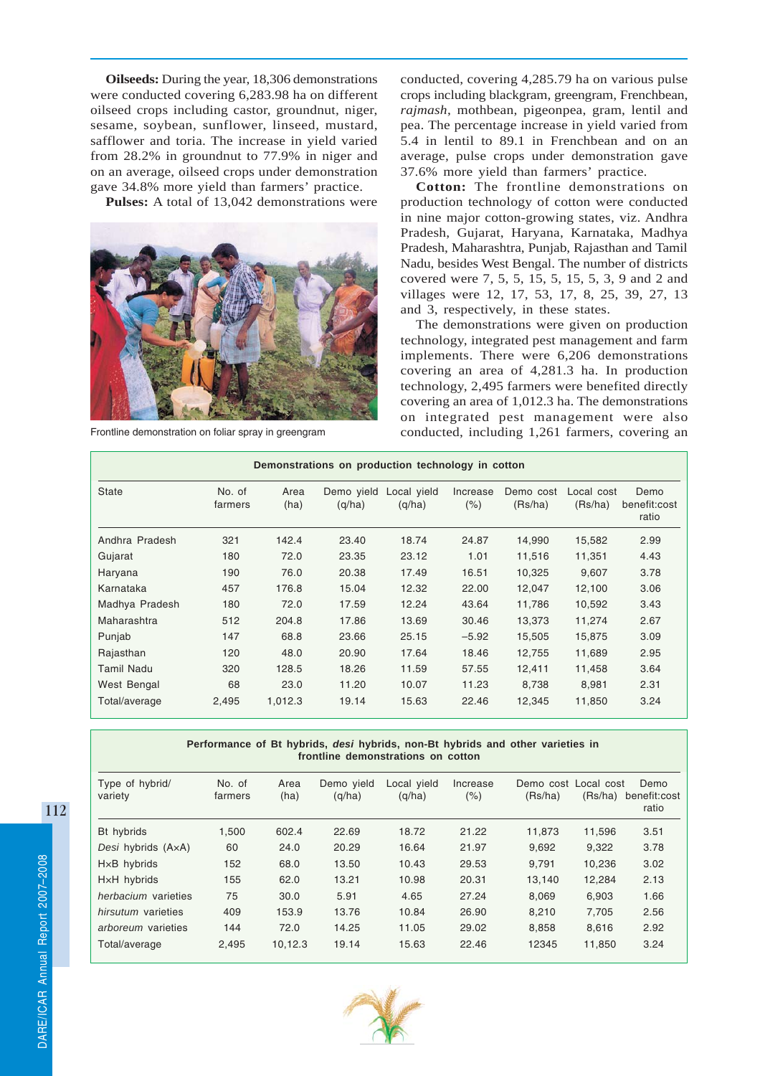**Oilseeds:** During the year, 18,306 demonstrations were conducted covering 6,283.98 ha on different oilseed crops including castor, groundnut, niger, sesame, soybean, sunflower, linseed, mustard, safflower and toria. The increase in yield varied from 28.2% in groundnut to 77.9% in niger and on an average, oilseed crops under demonstration gave 34.8% more yield than farmers' practice.

**Pulses:** A total of 13,042 demonstrations were



conducted, covering 4,285.79 ha on various pulse crops including blackgram, greengram, Frenchbean, *rajmash*, mothbean, pigeonpea, gram, lentil and pea. The percentage increase in yield varied from 5.4 in lentil to 89.1 in Frenchbean and on an average, pulse crops under demonstration gave 37.6% more yield than farmers' practice.

**Cotton:** The frontline demonstrations on production technology of cotton were conducted in nine major cotton-growing states, viz. Andhra Pradesh, Gujarat, Haryana, Karnataka, Madhya Pradesh, Maharashtra, Punjab, Rajasthan and Tamil Nadu, besides West Bengal. The number of districts covered were 7, 5, 5, 15, 5, 15, 5, 3, 9 and 2 and villages were 12, 17, 53, 17, 8, 25, 39, 27, 13 and 3, respectively, in these states.

The demonstrations were given on production technology, integrated pest management and farm implements. There were 6,206 demonstrations covering an area of 4,281.3 ha. In production technology, 2,495 farmers were benefited directly covering an area of 1,012.3 ha. The demonstrations on integrated pest management were also Frontline demonstration on foliar spray in greengram conducted, including 1,261 farmers, covering an

| Demonstrations on production technology in cotton |                   |              |                      |                       |                  |                      |                       |                               |
|---------------------------------------------------|-------------------|--------------|----------------------|-----------------------|------------------|----------------------|-----------------------|-------------------------------|
| <b>State</b>                                      | No. of<br>farmers | Area<br>(ha) | Demo yield<br>(q/ha) | Local yield<br>(q/ha) | Increase<br>(% ) | Demo cost<br>(Rs/ha) | Local cost<br>(Rs/ha) | Demo<br>benefit:cost<br>ratio |
| Andhra Pradesh                                    | 321               | 142.4        | 23.40                | 18.74                 | 24.87            | 14,990               | 15,582                | 2.99                          |
| Gujarat                                           | 180               | 72.0         | 23.35                | 23.12                 | 1.01             | 11,516               | 11,351                | 4.43                          |
| Haryana                                           | 190               | 76.0         | 20.38                | 17.49                 | 16.51            | 10,325               | 9,607                 | 3.78                          |
| Karnataka                                         | 457               | 176.8        | 15.04                | 12.32                 | 22.00            | 12,047               | 12,100                | 3.06                          |
| Madhya Pradesh                                    | 180               | 72.0         | 17.59                | 12.24                 | 43.64            | 11,786               | 10,592                | 3.43                          |
| Maharashtra                                       | 512               | 204.8        | 17.86                | 13.69                 | 30.46            | 13,373               | 11,274                | 2.67                          |
| Punjab                                            | 147               | 68.8         | 23.66                | 25.15                 | $-5.92$          | 15,505               | 15,875                | 3.09                          |
| Rajasthan                                         | 120               | 48.0         | 20.90                | 17.64                 | 18.46            | 12,755               | 11,689                | 2.95                          |
| <b>Tamil Nadu</b>                                 | 320               | 128.5        | 18.26                | 11.59                 | 57.55            | 12,411               | 11,458                | 3.64                          |
| West Bengal                                       | 68                | 23.0         | 11.20                | 10.07                 | 11.23            | 8,738                | 8,981                 | 2.31                          |
| Total/average                                     | 2,495             | 1,012.3      | 19.14                | 15.63                 | 22.46            | 12,345               | 11,850                | 3.24                          |

**Performance of Bt hybrids,** *desi* **hybrids, non-Bt hybrids and other varieties in frontline demonstrations on cotton**

| Type of hybrid/<br>variety | No. of<br>farmers | Area<br>(ha) | Demo yield<br>(g/ha) | Local vield<br>(q/ha) | Increase<br>$(\% )$ | Demo cost Local cost<br>(Rs/ha) | (Rs/ha) | Demo<br>benefit:cost<br>ratio |
|----------------------------|-------------------|--------------|----------------------|-----------------------|---------------------|---------------------------------|---------|-------------------------------|
| Bt hybrids                 | 1.500             | 602.4        | 22.69                | 18.72                 | 21.22               | 11.873                          | 11.596  | 3.51                          |
| Desi hybrids (AxA)         | 60                | 24.0         | 20.29                | 16.64                 | 21.97               | 9,692                           | 9,322   | 3.78                          |
| HxB hybrids                | 152               | 68.0         | 13.50                | 10.43                 | 29.53               | 9.791                           | 10.236  | 3.02                          |
| HxH hybrids                | 155               | 62.0         | 13.21                | 10.98                 | 20.31               | 13.140                          | 12,284  | 2.13                          |
| herbacium varieties        | 75                | 30.0         | 5.91                 | 4.65                  | 27.24               | 8.069                           | 6,903   | 1.66                          |
| hirsutum varieties         | 409               | 153.9        | 13.76                | 10.84                 | 26.90               | 8.210                           | 7.705   | 2.56                          |
| arboreum varieties         | 144               | 72.0         | 14.25                | 11.05                 | 29.02               | 8.858                           | 8.616   | 2.92                          |
| Total/average              | 2.495             | 10.12.3      | 19.14                | 15.63                 | 22.46               | 12345                           | 11,850  | 3.24                          |

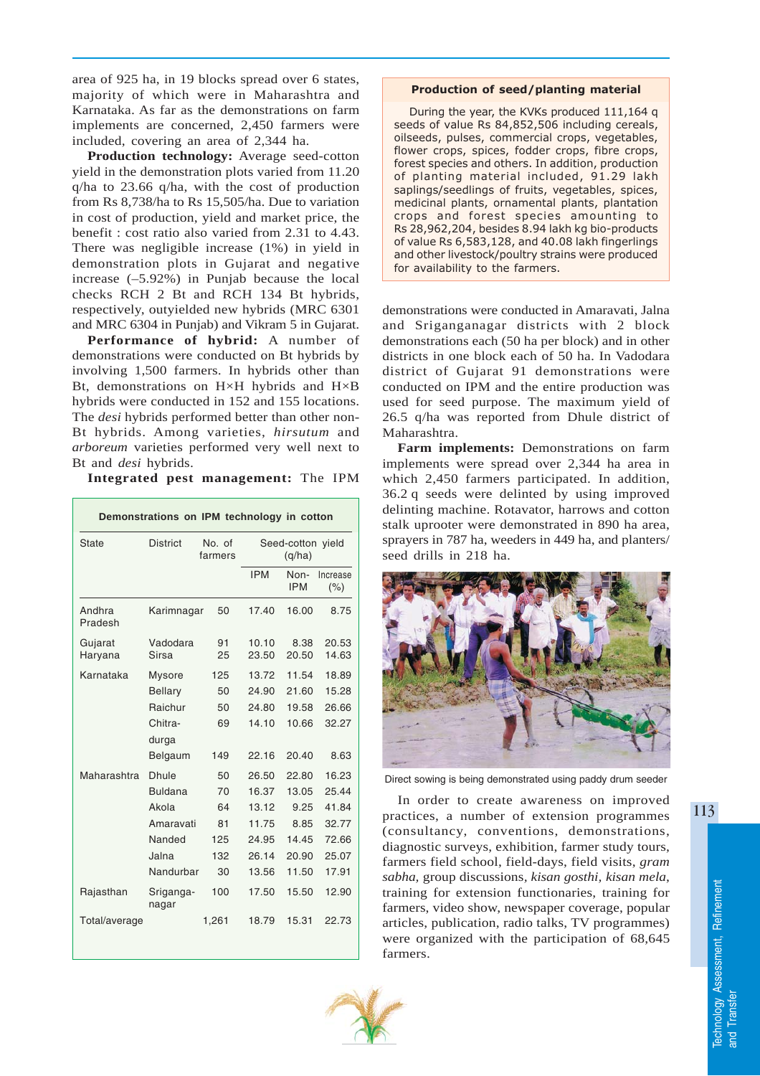area of 925 ha, in 19 blocks spread over 6 states, majority of which were in Maharashtra and Karnataka. As far as the demonstrations on farm implements are concerned, 2,450 farmers were included, covering an area of 2,344 ha.

**Production technology:** Average seed-cotton yield in the demonstration plots varied from 11.20 q/ha to 23.66 q/ha, with the cost of production from Rs 8,738/ha to Rs 15,505/ha. Due to variation in cost of production, yield and market price, the benefit : cost ratio also varied from 2.31 to 4.43. There was negligible increase (1%) in yield in demonstration plots in Gujarat and negative increase (–5.92%) in Punjab because the local checks RCH 2 Bt and RCH 134 Bt hybrids, respectively, outyielded new hybrids (MRC 6301 and MRC 6304 in Punjab) and Vikram 5 in Gujarat.

**Performance of hybrid:** A number of demonstrations were conducted on Bt hybrids by involving 1,500 farmers. In hybrids other than Bt, demonstrations on H×H hybrids and H×B hybrids were conducted in 152 and 155 locations. The *desi* hybrids performed better than other non-Bt hybrids. Among varieties, *hirsutum* and *arboreum* varieties performed very well next to Bt and *desi* hybrids.

**Integrated pest management:** The IPM

| Demonstrations on IPM technology in cotton |                    |                   |            |                             |                  |  |
|--------------------------------------------|--------------------|-------------------|------------|-----------------------------|------------------|--|
| State                                      | <b>District</b>    | No. of<br>farmers |            | Seed-cotton yield<br>(q/ha) |                  |  |
|                                            |                    |                   | <b>IPM</b> | Non-<br><b>IPM</b>          | Increase<br>(% ) |  |
| Andhra<br>Pradesh                          | Karimnagar         | 50                | 17.40      | 16.00                       | 8.75             |  |
| Gujarat                                    | Vadodara           | 91                | 10.10      | 8.38                        | 20.53            |  |
| Haryana                                    | Sirsa              | 25                | 23.50      | 20.50                       | 14.63            |  |
| Karnataka                                  | <b>Mysore</b>      | 125               | 13.72      | 11.54                       | 18.89            |  |
|                                            | <b>Bellary</b>     | 50                | 24.90      | 21.60                       | 15.28            |  |
|                                            | Raichur            | 50                | 24.80      | 19.58                       | 26.66            |  |
|                                            | Chitra-            | 69                | 14.10      | 10.66                       | 32.27            |  |
|                                            | durga              |                   |            |                             |                  |  |
|                                            | Belgaum            | 149               | 22.16      | 20.40                       | 8.63             |  |
| Maharashtra                                | <b>Dhule</b>       | 50                | 26.50      | 22.80                       | 16.23            |  |
|                                            | <b>Buldana</b>     | 70                | 16.37      | 13.05                       | 25.44            |  |
|                                            | Akola              | 64                | 13.12      | 9.25                        | 41.84            |  |
|                                            | Amaravati          | 81                | 11.75      | 8.85                        | 32.77            |  |
|                                            | Nanded             | 125               | 24.95      | 14.45                       | 72.66            |  |
|                                            | Jalna              | 132               | 26.14      | 20.90                       | 25.07            |  |
|                                            | Nandurbar          | 30                | 13.56      | 11.50                       | 17.91            |  |
| Rajasthan                                  | Sriganga-<br>nagar | 100               | 17.50      | 15.50                       | 12.90            |  |
| Total/average                              |                    | 1.261             | 18.79      | 15.31                       | 22.73            |  |

## Production of seed/planting material

During the year, the KVKs produced 111,164 q seeds of value Rs 84,852,506 including cereals, oilseeds, pulses, commercial crops, vegetables, flower crops, spices, fodder crops, fibre crops, forest species and others. In addition, production of planting material included, 91.29 lakh saplings/seedlings of fruits, vegetables, spices, medicinal plants, ornamental plants, plantation crops and forest species amounting to Rs 28,962,204, besides 8.94 lakh kg bio-products of value Rs 6,583,128, and 40.08 lakh fingerlings and other livestock/poultry strains were produced for availability to the farmers.

demonstrations were conducted in Amaravati, Jalna and Sriganganagar districts with 2 block demonstrations each (50 ha per block) and in other districts in one block each of 50 ha. In Vadodara district of Gujarat 91 demonstrations were conducted on IPM and the entire production was used for seed purpose. The maximum yield of 26.5 q/ha was reported from Dhule district of Maharashtra.

**Farm implements:** Demonstrations on farm implements were spread over 2,344 ha area in which 2,450 farmers participated. In addition, 36.2 q seeds were delinted by using improved delinting machine. Rotavator, harrows and cotton stalk uprooter were demonstrated in 890 ha area, sprayers in 787 ha, weeders in 449 ha, and planters/ seed drills in 218 ha.



Direct sowing is being demonstrated using paddy drum seeder

In order to create awareness on improved practices, a number of extension programmes (consultancy, conventions, demonstrations, diagnostic surveys, exhibition, farmer study tours, farmers field school, field-days, field visits, *gram sabha,* group discussions*, kisan gosthi, kisan mela*, training for extension functionaries, training for farmers, video show, newspaper coverage, popular articles, publication, radio talks, TV programmes) were organized with the participation of 68,645 farmers.

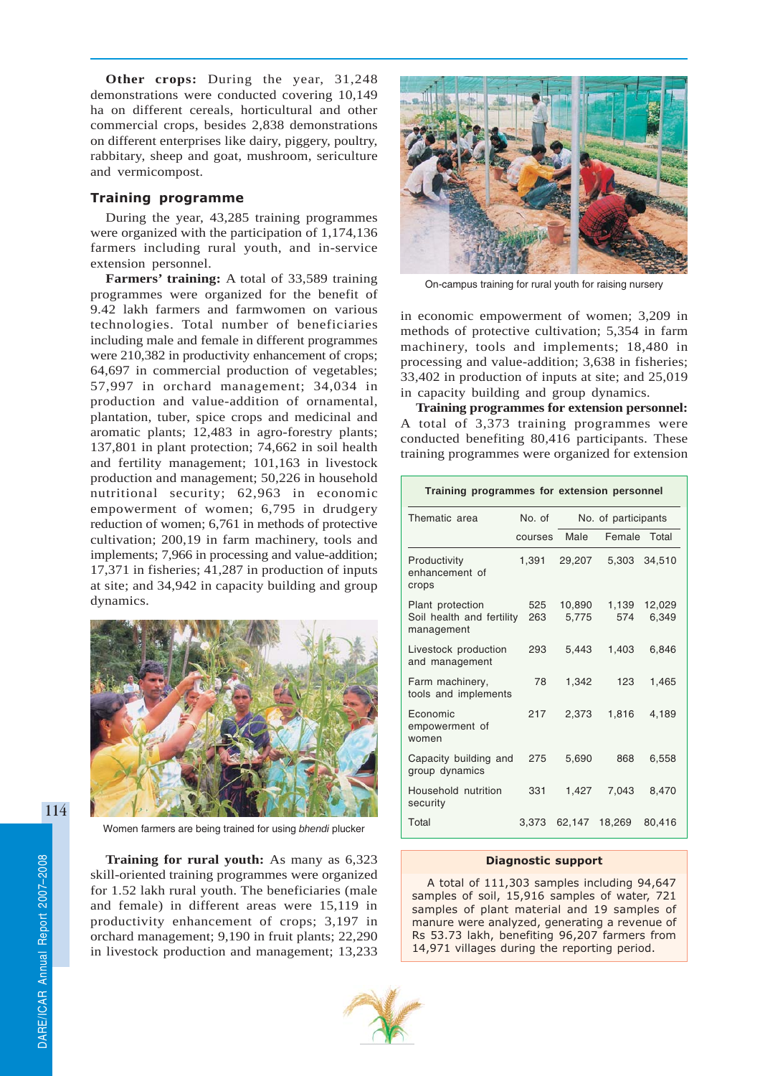**Other crops:** During the year, 31,248 demonstrations were conducted covering 10,149 ha on different cereals, horticultural and other commercial crops, besides 2,838 demonstrations on different enterprises like dairy, piggery, poultry, rabbitary, sheep and goat, mushroom, sericulture and vermicompost.

# Training programme

During the year, 43,285 training programmes were organized with the participation of 1,174,136 farmers including rural youth, and in-service extension personnel.

**Farmers' training:** A total of 33,589 training programmes were organized for the benefit of 9.42 lakh farmers and farmwomen on various technologies. Total number of beneficiaries including male and female in different programmes were 210,382 in productivity enhancement of crops; 64,697 in commercial production of vegetables; 57,997 in orchard management; 34,034 in production and value-addition of ornamental, plantation, tuber, spice crops and medicinal and aromatic plants; 12,483 in agro-forestry plants; 137,801 in plant protection; 74,662 in soil health and fertility management; 101,163 in livestock production and management; 50,226 in household nutritional security; 62,963 in economic empowerment of women; 6,795 in drudgery reduction of women; 6,761 in methods of protective cultivation; 200,19 in farm machinery, tools and implements; 7,966 in processing and value-addition; 17,371 in fisheries; 41,287 in production of inputs at site; and 34,942 in capacity building and group dynamics.



Women farmers are being trained for using *bhendi* plucker

**Training for rural youth:** As many as 6,323 skill-oriented training programmes were organized for 1.52 lakh rural youth. The beneficiaries (male and female) in different areas were 15,119 in productivity enhancement of crops; 3,197 in orchard management; 9,190 in fruit plants; 22,290 in livestock production and management; 13,233



On-campus training for rural youth for raising nursery

in economic empowerment of women; 3,209 in methods of protective cultivation; 5,354 in farm machinery, tools and implements; 18,480 in processing and value-addition; 3,638 in fisheries; 33,402 in production of inputs at site; and 25,019 in capacity building and group dynamics.

**Training programmes for extension personnel:** A total of 3,373 training programmes were conducted benefiting 80,416 participants. These training programmes were organized for extension

| Training programmes for extension personnel                     |         |                     |              |                 |  |  |
|-----------------------------------------------------------------|---------|---------------------|--------------|-----------------|--|--|
| Thematic area                                                   | No. of  | No. of participants |              |                 |  |  |
|                                                                 | courses | Male                | Female Total |                 |  |  |
| Productivity<br>enhancement of<br>crops                         | 1,391   | 29,207              | 5,303        | 34,510          |  |  |
| Plant protection<br>Soil health and fertility 263<br>management | 525     | 10,890<br>5,775     | 1.139<br>574 | 12,029<br>6.349 |  |  |
| Livestock production<br>and management                          | 293     | 5.443               | 1.403        | 6.846           |  |  |
| Farm machinery,<br>tools and implements                         | 78      | 1.342               | 123          | 1,465           |  |  |
| <b>Economic</b><br>empowerment of<br>women                      | 217     | 2.373               | 1,816        | 4.189           |  |  |
| Capacity building and<br>group dynamics                         | 275     | 5,690               | 868          | 6,558           |  |  |
| Household nutrition<br>security                                 | 331     | 1,427               | 7.043        | 8,470           |  |  |
| Total                                                           | 3.373   | 62,147              | 18.269       | 80.416          |  |  |

### Diagnostic support

A total of 111,303 samples including 94,647 samples of soil, 15,916 samples of water, 721 samples of plant material and 19 samples of manure were analyzed, generating a revenue of Rs 53.73 lakh, benefiting 96,207 farmers from 14,971 villages during the reporting period.